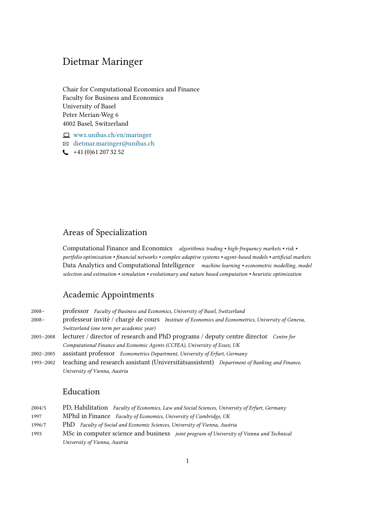# Dietmar Maringer

Chair for Computational Economics and Finance Faculty for Business and Economics University of Basel Peter Merian-Weg 6 4002 Basel, Switzerland

 $\Box$  [wwz.unibas.ch/en/maringer](https://wwz.unibas.ch/en/maringer) B [dietmar.maringer@unibas.ch](mailto:dietmar.maringer@unibas.ch)  $\leftarrow$  +41 (0)61 207 32 52

# Areas of Specialization

Computational Finance and Economics algorithmic trading • high-frequency markets • risk • portfolio optimization • financial networks • complex adaptive systems • agent-based models • artificial markets Data Analytics and Computational Intelligence machine learning • econometric modelling, model selection and estimation • simulation • evolutionary and nature based computation • heuristic optimization

## Academic Appointments

| $2008 -$<br>$2008 -$ | professor Faculty of Business and Economics, University of Basel, Switzerland<br>professeur invité / chargé de cours Institute of Economics and Econometrics, University of Geneva, |
|----------------------|-------------------------------------------------------------------------------------------------------------------------------------------------------------------------------------|
|                      | Switzerland (one term per academic year)                                                                                                                                            |
| $2005 - 2008$        | lecturer / director of research and PhD programs / deputy centre director Centre for                                                                                                |
|                      | Computational Finance and Economic Agents (CCFEA), University of Essex, UK                                                                                                          |
| $2002 - 2005$        | assistant professor Econometrics Department, University of Erfurt, Germany                                                                                                          |
| 1993-2002            | teaching and research assistant (Universitätsassistent) Department of Banking and Finance,                                                                                          |
|                      | University of Vienna, Austria                                                                                                                                                       |

## Education

| 2004/5 | PD, Habilitation Faculty of Economics, Law and Social Sciences, University of Erfurt, Germany   |
|--------|-------------------------------------------------------------------------------------------------|
| 1997   | MPhil in Finance Faculty of Economics, University of Cambridge, UK                              |
| 1996/7 | PhD Faculty of Social and Economic Sciences, University of Vienna, Austria                      |
| 1993   | MSc in computer science and business <i>joint program of University of Vienna and Technical</i> |
|        | University of Vienna, Austria                                                                   |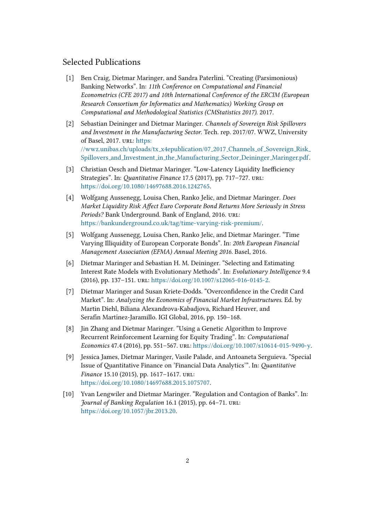## Selected Publications

- [1] Ben Craig, Dietmar Maringer, and Sandra Paterlini. "Creating (Parsimonious) Banking Networks". In: 11th Conference on Computational and Financial Econometrics (CFE 2017) and 10th International Conference of the ERCIM (European Research Consortium for Informatics and Mathematics) Working Group on Computational and Methodological Statistics (CMStatistics 2017). 2017.
- [2] Sebastian Deininger and Dietmar Maringer. Channels of Sovereign Risk Spillovers and Investment in the Manufacturing Sector. Tech. rep. 2017/07. WWZ, University of Basel, 2017. URL: https: [//wwz.unibas.ch/uploads/tx](https://wwz.unibas.ch/uploads/tx_x4epublication/07_2017_Channels_of_Sovereign_Risk_Spillovers_and_Investment_in_the_Manufacturing_Sector_Deininger_Maringer.pdf) x4epublication/07 2017 Channels of Sovereign Risk Spillovers and Investment in the [Manufacturing](https://wwz.unibas.ch/uploads/tx_x4epublication/07_2017_Channels_of_Sovereign_Risk_Spillovers_and_Investment_in_the_Manufacturing_Sector_Deininger_Maringer.pdf) Sector Deininger Maringer.pdf.
- [3] Christian Oesch and Dietmar Maringer. "Low-Latency Liquidity Inefficiency Strategies". In: Quantitative Finance 17.5 (2017), pp. 717–727. URL: https://doi.org/10.1080/14697688.2016.1242765.
- [4] Wolfgang Aussenegg, Louisa Chen, Ranko Jelic, and Dietmar Maringer. Does Market Liquidity Risk Affect Euro Corporate Bond Returns More Seriously in Stress Periods? Bank Underground. Bank of England, 2016. URL: https://bankunderground.co.uk/tag/time-varying-risk-premium/.
- [5] Wolfgang Aussenegg, Louisa Chen, Ranko Jelic, and Dietmar Maringer. "Time Varying Illiquidity of European Corporate Bonds". In: 20th European Financial Management Association (EFMA) Annual Meeting 2016. Basel, 2016.
- [6] Dietmar Maringer and Sebastian H. M. Deininger. "Selecting and Estimating Interest Rate Models with Evolutionary Methods". In: Evolutionary Intelligence 9.4  $(2016)$ , pp. 137–151. URL: https://doi.org/10.1007/s12065-016-0145-2.
- [7] Dietmar Maringer and Susan Kriete-Dodds. "Overcondence in the Credit Card Market". In: Analyzing the Economics of Financial Market Infrastructures. Ed. by Martin Diehl, Biliana Alexandrova-Kabadjova, Richard Heuver, and Serafín Martínez-Jaramillo. IGI Global, 2016, pp. 150-168.
- [8] Jin Zhang and Dietmar Maringer. "Using a Genetic Algorithm to Improve Recurrent Reinforcement Learning for Equity Trading". In: Computational Economics 47.4 (2016), pp. 551-567. url: https://doi.org/10.1007/s10614-015-9490-y.
- [9] Jessica James, Dietmar Maringer, Vasile Palade, and Antoaneta Serguieva. "Special Issue of Quantitative Finance on 'Financial Data Analytics'". In: Quantitative Finance 15.10 (2015), pp. 1617–1617. url: https://doi.org/10.1080/14697688.2015.1075707.
- [10] Yvan Lengwiler and Dietmar Maringer. "Regulation and Contagion of Banks". In: Journal of Banking Regulation 16.1 (2015), pp. 64–71. url: https://doi.org/10.1057/jbr.2013.20.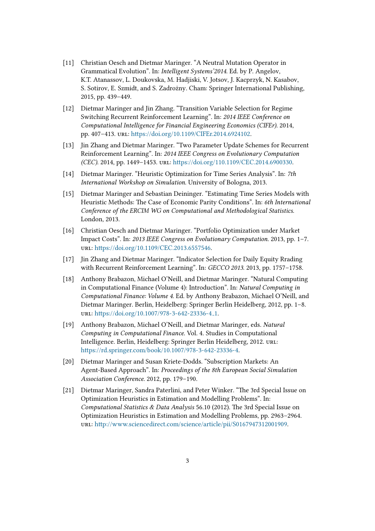- [11] Christian Oesch and Dietmar Maringer. "A Neutral Mutation Operator in Grammatical Evolution". In: Intelligent Systems'2014. Ed. by P. Angelov, K.T. Atanassov, L. Doukovska, M. Hadjiski, V. Jotsov, J. Kacprzyk, N. Kasabov, S. Sotirov, E. Szmidt, and S. Zadrożny. Cham: Springer International Publishing, 2015, pp. 439–449.
- [12] Dietmar Maringer and Jin Zhang. "Transition Variable Selection for Regime Switching Recurrent Reinforcement Learning". In: 2014 IEEE Conference on Computational Intelligence for Financial Engineering Economics (CIFEr). 2014, pp. 407-413. url: https://doi.org/10.1109/CIFEr.2014.6924102.
- [13] Jin Zhang and Dietmar Maringer. "Two Parameter Update Schemes for Recurrent Reinforcement Learning". In: 2014 IEEE Congress on Evolutionary Computation (CEC). 2014, pp. 1449-1453. url: https://doi.org/110.1109/CEC.2014.6900330.
- [14] Dietmar Maringer. "Heuristic Optimization for Time Series Analysis". In: 7th International Workshop on Simulation. University of Bologna, 2013.
- [15] Dietmar Maringer and Sebastian Deininger. "Estimating Time Series Models with Heuristic Methods: The Case of Economic Parity Conditions". In: 6th International Conference of the ERCIM WG on Computational and Methodological Statistics. London, 2013.
- [16] Christian Oesch and Dietmar Maringer. "Portfolio Optimization under Market Impact Costs". In: 2013 IEEE Congress on Evolutionary Computation. 2013, pp. 1–7. url: https://doi.org/10.1109/CEC.2013.6557546.
- [17] Jin Zhang and Dietmar Maringer. "Indicator Selection for Daily Equity Rrading with Recurrent Reinforcement Learning". In: GECCO 2013. 2013, pp. 1757–1758.
- [18] Anthony Brabazon, Michael O'Neill, and Dietmar Maringer. "Natural Computing in Computational Finance (Volume 4): Introduction". In: Natural Computing in Computational Finance: Volume 4. Ed. by Anthony Brabazon, Michael O'Neill, and Dietmar Maringer. Berlin, Heidelberg: Springer Berlin Heidelberg, 2012, pp. 1–8. url: https://doi.org/10.1007/978-3-642-23336-4\_1.
- [19] Anthony Brabazon, Michael O'Neill, and Dietmar Maringer, eds. Natural Computing in Computational Finance. Vol. 4. Studies in Computational Intelligence. Berlin, Heidelberg: Springer Berlin Heidelberg, 2012. url: https://rd.springer.com/book/10.1007/978-3-642-23336-4.
- [20] Dietmar Maringer and Susan Kriete-Dodds. "Subscription Markets: An Agent-Based Approach". In: Proceedings of the 8th European Social Simulation Association Conference. 2012, pp. 179–190.
- [21] Dietmar Maringer, Sandra Paterlini, and Peter Winker. "The 3rd Special Issue on Optimization Heuristics in Estimation and Modelling Problems". In: Computational Statistics & Data Analysis 56.10 (2012). The 3rd Special Issue on Optimization Heuristics in Estimation and Modelling Problems, pp. 2963–2964. url: http://www.sciencedirect.com/science/article/pii/S0167947312001909.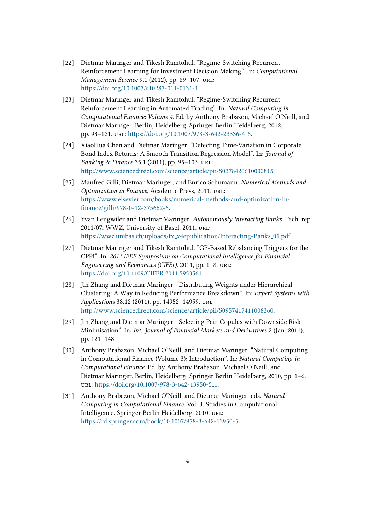- [22] Dietmar Maringer and Tikesh Ramtohul. "Regime-Switching Recurrent Reinforcement Learning for Investment Decision Making". In: Computational Management Science 9.1 (2012), pp. 89–107. url: https://doi.org/10.1007/s10287-011-0131-1.
- [23] Dietmar Maringer and Tikesh Ramtohul. "Regime-Switching Recurrent Reinforcement Learning in Automated Trading". In: Natural Computing in Computational Finance: Volume 4. Ed. by Anthony Brabazon, Michael O'Neill, and Dietmar Maringer. Berlin, Heidelberg: Springer Berlin Heidelberg, 2012, pp. 93-121. url: https://doi.org/10.1007/978-3-642-23336-4\_6.
- [24] XiaoHua Chen and Dietmar Maringer. "Detecting Time-Variation in Corporate Bond Index Returns: A Smooth Transition Regression Model". In: Journal of Banking & Finance 35.1 (2011), pp. 95–103. url: [hp://www.sciencedirect.com/science/article/pii/S0378426610002815.](http://www.sciencedirect.com/science/article/pii/S0378426610002815)
- [25] Manfred Gilli, Dietmar Maringer, and Enrico Schumann. Numerical Methods and Optimization in Finance. Academic Press, 2011. url: https://www.elsevier.com/books/numerical-methods-and-optimization-in[nance/gilli/978-0-12-375662-6.](https://www.elsevier.com/books/numerical-methods-and-optimization-in-finance/gilli/978-0-12-375662-6)
- [26] Yvan Lengwiler and Dietmar Maringer. Autonomously Interacting Banks. Tech. rep. 2011/07. WWZ, University of Basel, 2011. url: https://wwz.unibas.ch/uploads/tx\_[x4epublication/Interacting-Banks](https://wwz.unibas.ch/uploads/tx_x4epublication/Interacting-Banks_01.pdf)\_01.pdf.
- [27] Dietmar Maringer and Tikesh Ramtohul. "GP-Based Rebalancing Triggers for the CPPI". In: 2011 IEEE Symposium on Computational Intelligence for Financial Engineering and Economics (CIFEr). 2011, pp. 1–8. url: https://doi.org/10.1109/CIFER.2011.5953561.
- [28] Jin Zhang and Dietmar Maringer. "Distributing Weights under Hierarchical Clustering: A Way in Reducing Performance Breakdown". In: Expert Systems with Applications 38.12 (2011), pp. 14952–14959. url: [hp://www.sciencedirect.com/science/article/pii/S0957417411008360.](http://www.sciencedirect.com/science/article/pii/S0957417411008360)
- [29] Jin Zhang and Dietmar Maringer. "Selecting Pair-Copulas with Downside Risk Minimisation". In: Int. Journal of Financial Markets and Derivatives 2 (Jan. 2011), pp. 121–148.
- [30] Anthony Brabazon, Michael O'Neill, and Dietmar Maringer. "Natural Computing in Computational Finance (Volume 3): Introduction". In: Natural Computing in Computational Finance. Ed. by Anthony Brabazon, Michael O'Neill, and Dietmar Maringer. Berlin, Heidelberg: Springer Berlin Heidelberg, 2010, pp. 1–6. url: https://doi.org/10.1007/978-3-642-13950-5<sub>-1</sub>.
- [31] Anthony Brabazon, Michael O'Neill, and Dietmar Maringer, eds. Natural Computing in Computational Finance. Vol. 3. Studies in Computational Intelligence. Springer Berlin Heidelberg, 2010. url: https://rd.springer.com/book/10.1007/978-3-642-13950-5.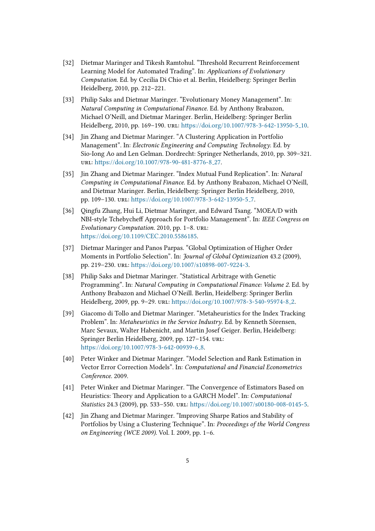- [32] Dietmar Maringer and Tikesh Ramtohul. "Threshold Recurrent Reinforcement Learning Model for Automated Trading". In: Applications of Evolutionary Computation. Ed. by Cecilia Di Chio et al. Berlin, Heidelberg: Springer Berlin Heidelberg, 2010, pp. 212–221.
- [33] Philip Saks and Dietmar Maringer. "Evolutionary Money Management". In: Natural Computing in Computational Finance. Ed. by Anthony Brabazon, Michael O'Neill, and Dietmar Maringer. Berlin, Heidelberg: Springer Berlin Heidelberg, 2010, pp. 169–190. url.: https://doi.org/10.1007/978-3-642-13950-5<sub>-10</sub>.
- [34] Jin Zhang and Dietmar Maringer. "A Clustering Application in Portfolio Management". In: Electronic Engineering and Computing Technology. Ed. by Sio-Iong Ao and Len Gelman. Dordrecht: Springer Netherlands, 2010, pp. 309–321. url: https://doi.org/10.1007/978-90-481-8776-8\_27.
- [35] Jin Zhang and Dietmar Maringer. "Index Mutual Fund Replication". In: Natural Computing in Computational Finance. Ed. by Anthony Brabazon, Michael O'Neill, and Dietmar Maringer. Berlin, Heidelberg: Springer Berlin Heidelberg, 2010, pp. 109-130. url: https://doi.org/10.1007/978-3-642-13950-5<sub>-7</sub>.
- [36] Qingfu Zhang, Hui Li, Dietmar Maringer, and Edward Tsang. "MOEA/D with NBI-style Tchebycheff Approach for Portfolio Management". In: IEEE Congress on Evolutionary Computation. 2010, pp. 1–8. url: https://doi.org/10.1109/CEC.2010.5586185.
- [37] Dietmar Maringer and Panos Parpas. "Global Optimization of Higher Order Moments in Portfolio Selection". In: Journal of Global Optimization 43.2 (2009), pp. 219-230. url: https://doi.org/10.1007/s10898-007-9224-3.
- [38] Philip Saks and Dietmar Maringer. "Statistical Arbitrage with Genetic Programming". In: Natural Computing in Computational Finance: Volume 2. Ed. by Anthony Brabazon and Michael O'Neill. Berlin, Heidelberg: Springer Berlin Heidelberg, 2009, pp. 9-29. url: https://doi.org/10.1007/978-3-540-95974-8<sub>-2</sub>.
- [39] Giacomo di Tollo and Dietmar Maringer. "Metaheuristics for the Index Tracking Problem". In: Metaheuristics in the Service Industry. Ed. by Kenneth Sörensen, Marc Sevaux, Walter Habenicht, and Martin Josef Geiger. Berlin, Heidelberg: Springer Berlin Heidelberg, 2009, pp. 127–154. url: https://doi.org/10.1007/978-3-642-00939-6\_8.
- [40] Peter Winker and Dietmar Maringer. "Model Selection and Rank Estimation in Vector Error Correction Models". In: Computational and Financial Econometrics Conference. 2009.
- [41] Peter Winker and Dietmar Maringer. "The Convergence of Estimators Based on Heuristics: Theory and Application to a GARCH Model". In: Computational Statistics 24.3 (2009), pp. 533–550. url: https://doi.org/10.1007/s00180-008-0145-5.
- [42] Jin Zhang and Dietmar Maringer. "Improving Sharpe Ratios and Stability of Portfolios by Using a Clustering Technique". In: Proceedings of the World Congress on Engineering (WCE 2009). Vol. I. 2009, pp. 1–6.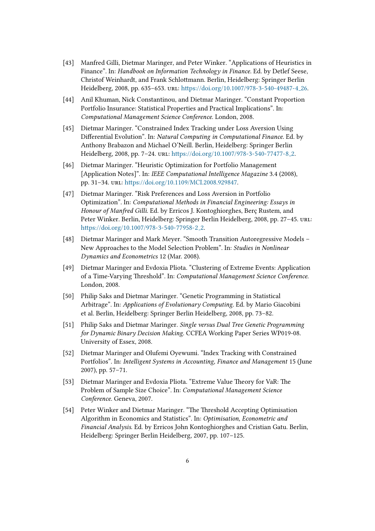- [43] Manfred Gilli, Dietmar Maringer, and Peter Winker. "Applications of Heuristics in Finance". In: Handbook on Information Technology in Finance. Ed. by Detlef Seese, Christof Weinhardt, and Frank Schlomann. Berlin, Heidelberg: Springer Berlin Heidelberg, 2008, pp. 635-653. url: https://doi.org/10.1007/978-3-540-49487-4\_26.
- [44] Anil Khuman, Nick Constantinou, and Dietmar Maringer. "Constant Proportion Portfolio Insurance: Statistical Properties and Practical Implications". In: Computational Management Science Conference. London, 2008.
- [45] Dietmar Maringer. "Constrained Index Tracking under Loss Aversion Using Differential Evolution". In: Natural Computing in Computational Finance. Ed. by Anthony Brabazon and Michael O'Neill. Berlin, Heidelberg: Springer Berlin Heidelberg, 2008, pp. 7-24. url: https://doi.org/10.1007/978-3-540-77477-8<sub>-2</sub>.
- [46] Dietmar Maringer. "Heuristic Optimization for Portfolio Management [Application Notes]". In: IEEE Computational Intelligence Magazine 3.4 (2008), pp. 31-34. url: https://doi.org/10.1109/MCI.2008.929847.
- [47] Dietmar Maringer. "Risk Preferences and Loss Aversion in Portfolio Optimization". In: Computational Methods in Financial Engineering: Essays in Honour of Manfred Gilli. Ed. by Erricos J. Kontoghiorghes, Berc Rustem, and Peter Winker. Berlin, Heidelberg: Springer Berlin Heidelberg, 2008, pp. 27–45. url: https://doi.org/10.1007/978-3-540-77958-2\_2.
- [48] Dietmar Maringer and Mark Meyer. "Smooth Transition Autoregressive Models New Approaches to the Model Selection Problem". In: Studies in Nonlinear Dynamics and Econometrics 12 (Mar. 2008).
- [49] Dietmar Maringer and Evdoxia Pliota. "Clustering of Extreme Events: Application of a Time-Varying Threshold". In: Computational Management Science Conference. London, 2008.
- [50] Philip Saks and Dietmar Maringer. "Genetic Programming in Statistical Arbitrage". In: Applications of Evolutionary Computing. Ed. by Mario Giacobini et al. Berlin, Heidelberg: Springer Berlin Heidelberg, 2008, pp. 73–82.
- [51] Philip Saks and Dietmar Maringer. Single versus Dual Tree Genetic Programming for Dynamic Binary Decision Making. CCFEA Working Paper Series WP019-08. University of Essex, 2008.
- [52] Dietmar Maringer and Olufemi Oyewumi. "Index Tracking with Constrained Portfolios". In: Intelligent Systems in Accounting, Finance and Management 15 (June 2007), pp. 57–71.
- [53] Dietmar Maringer and Evdoxia Pliota. "Extreme Value Theory for VaR: The Problem of Sample Size Choice". In: Computational Management Science Conference. Geneva, 2007.
- [54] Peter Winker and Dietmar Maringer. "The Threshold Accepting Optimisation Algorithm in Economics and Statistics". In: Optimisation, Econometric and Financial Analysis. Ed. by Erricos John Kontoghiorghes and Cristian Gatu. Berlin, Heidelberg: Springer Berlin Heidelberg, 2007, pp. 107–125.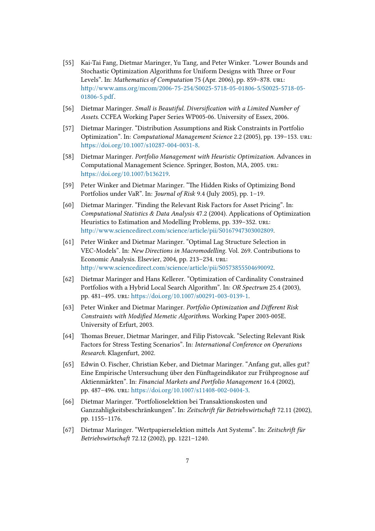- [55] Kai-Tai Fang, Dietmar Maringer, Yu Tang, and Peter Winker. "Lower Bounds and Stochastic Optimization Algorithms for Uniform Designs with Three or Four Levels". In: Mathematics of Computation 75 (Apr. 2006), pp. 859–878. url: [hp://www.ams.org/mcom/2006-75-254/S0025-5718-05-01806-5/S0025-5718-05-](http://www.ams.org/mcom/2006-75-254/S0025-5718-05-01806-5/S0025-5718-05-01806-5.pdf) [01806-5.pdf.](http://www.ams.org/mcom/2006-75-254/S0025-5718-05-01806-5/S0025-5718-05-01806-5.pdf)
- [56] Dietmar Maringer. Small is Beautiful. Diversification with a Limited Number of Assets. CCFEA Working Paper Series WP005-06. University of Essex, 2006.
- [57] Dietmar Maringer. "Distribution Assumptions and Risk Constraints in Portfolio Optimization". In: Computational Management Science 2.2 (2005), pp. 139–153. url: https://doi.org/10.1007/s10287-004-0031-8.
- [58] Dietmar Maringer. Portfolio Management with Heuristic Optimization. Advances in Computational Management Science. Springer, Boston, MA, 2005. url: https://doi.org/10.1007/b136219.
- [59] Peter Winker and Dietmar Maringer. "The Hidden Risks of Optimizing Bond Portfolios under VaR". In: Journal of Risk 9.4 (July 2005), pp. 1-19.
- [60] Dietmar Maringer. "Finding the Relevant Risk Factors for Asset Pricing". In: Computational Statistics & Data Analysis 47.2 (2004). Applications of Optimization Heuristics to Estimation and Modelling Problems, pp. 339–352. URL: [hp://www.sciencedirect.com/science/article/pii/S0167947303002809.](http://www.sciencedirect.com/science/article/pii/S0167947303002809)
- [61] Peter Winker and Dietmar Maringer. "Optimal Lag Structure Selection in VEC-Models". In: New Directions in Macromodelling. Vol. 269. Contributions to Economic Analysis. Elsevier, 2004, pp. 213–234. url: [hp://www.sciencedirect.com/science/article/pii/S0573855504690092.](http://www.sciencedirect.com/science/article/pii/S0573855504690092)
- [62] Dietmar Maringer and Hans Kellerer. "Optimization of Cardinality Constrained Portfolios with a Hybrid Local Search Algorithm". In: OR Spectrum 25.4 (2003), pp. 481-495. url: https://doi.org/10.1007/s00291-003-0139-1.
- [63] Peter Winker and Dietmar Maringer. Portfolio Optimization and Different Risk Constraints with Modified Memetic Algorithms. Working Paper 2003-005E. University of Erfurt, 2003.
- [64] Thomas Breuer, Dietmar Maringer, and Filip Pistovcak. "Selecting Relevant Risk Factors for Stress Testing Scenarios". In: International Conference on Operations Research. Klagenfurt, 2002.
- [65] Edwin O. Fischer, Christian Keber, and Dietmar Maringer. "Anfang gut, alles gut? Eine Empirische Untersuchung über den Fünftageindikator zur Frühprognose auf Aktienmärkten". In: Financial Markets and Portfolio Management 16.4 (2002), pp. 487-496. url: https://doi.org/10.1007/s11408-002-0404-3.
- [66] Dietmar Maringer. "Portfolioselektion bei Transaktionskosten und Ganzzahligkeitsbeschränkungen". In: Zeitschrift für Betriebswirtschaft 72.11 (2002), pp. 1155–1176.
- [67] Dietmar Maringer. "Wertpapierselektion mittels Ant Systems". In: Zeitschrift für Betriebswirtschaft 72.12 (2002), pp. 1221-1240.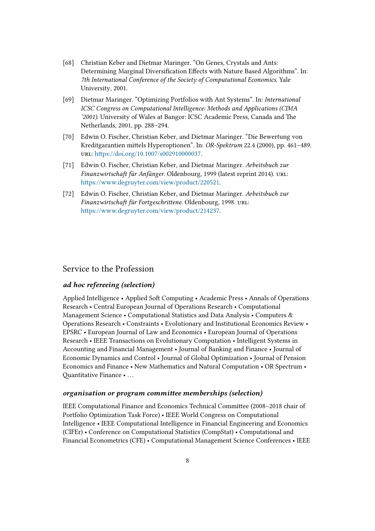- [68] Christian Keber and Dietmar Maringer. "On Genes, Crystals and Ants: Determining Marginal Diversification Effects with Nature Based Algorithms". In: 7th International Conference of the Society of Computational Economics. Yale University, 2001.
- [69] Dietmar Maringer. "Optimizing Portfolios with Ant Systems". In: International ICSC Congress on Computational Intelligence: Methods and Applications (CIMA '2001). University of Wales at Bangor: ICSC Academic Press, Canada and The Netherlands, 2001, pp. 288–294.
- [70] Edwin O. Fischer, Christian Keber, and Dietmar Maringer. "Die Bewertung von Kreditgarantien mittels Hyperoptionen". In: OR-Spektrum 22.4 (2000), pp. 461-489. url: https://doi.org/10.1007/s002910000037.
- [71] Edwin O. Fischer, Christian Keber, and Dietmar Maringer. Arbeitsbuch zur Finanzwirtschaft für Anfänger. Oldenbourg, 1999 (latest reprint 2014). URL: https://www.degruyter.com/view/product/220521.
- [72] Edwin O. Fischer, Christian Keber, and Dietmar Maringer. Arbeitsbuch zur Finanzwirtschaft für Fortgeschrittene. Oldenbourg, 1998. URL: https://www.degruyter.com/view/product/214237.

### Service to the Profession

#### ad hoc refereeing (selection)

Applied Intelligence • Applied Soft Computing • Academic Press • Annals of Operations Research • Central European Journal of Operations Research • Computational Management Science • Computational Statistics and Data Analysis • Computers & Operations Research • Constraints • Evolutionary and Institutional Economics Review • EPSRC • European Journal of Law and Economics • European Journal of Operations Research • IEEE Transactions on Evolutionary Computation • Intelligent Systems in Accounting and Financial Management • Journal of Banking and Finance • Journal of Economic Dynamics and Control • Journal of Global Optimization • Journal of Pension Economics and Finance • New Mathematics and Natural Computation • OR Spectrum • Quantitative Finance • ...

#### organisation or program committee memberships (selection)

IEEE Computational Finance and Economics Technical Committee (2008–2018 chair of Portfolio Optimization Task Force) • IEEE World Congress on Computational Intelligence • IEEE Computational Intelligence in Financial Engineering and Economics (CIFEr) • Conference on Computational Statistics (CompStat) • Computational and Financial Econometrics (CFE) • Computational Management Science Conferences • IEEE